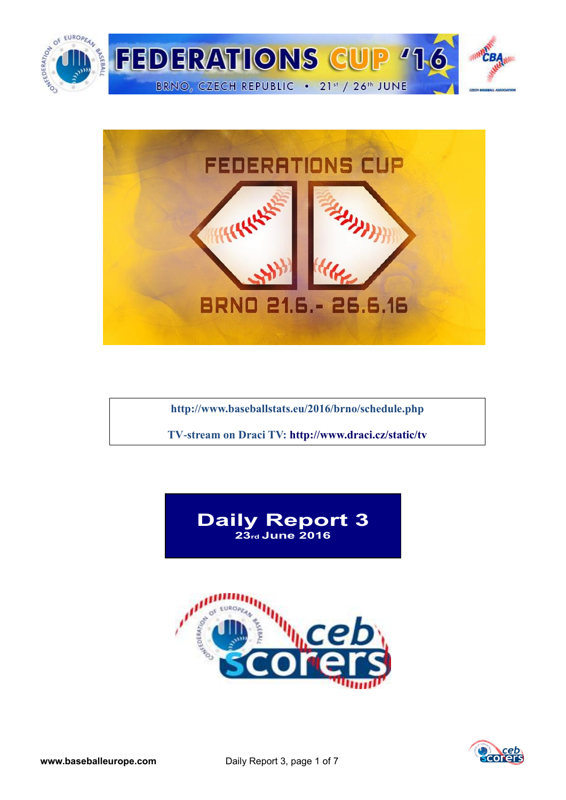



**<http://www.baseballstats.eu/2016/brno/schedule.php>**

**TV-stream on Draci TV:<http://www.draci.cz/static/tv>**





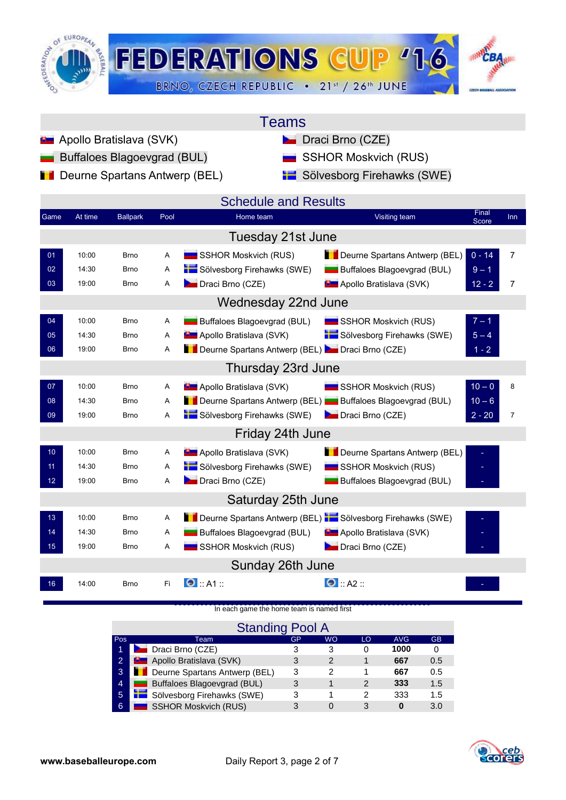

| Teams |  |
|-------|--|
|       |  |

- **Apollo Bratislava (SVK)** Draci Brno (CZE)
	-
- **Deurne Spartans Antwerp (BEL)** Sölvesborg Firehawks (SWE)

| Buffaloes Blagoevgrad (BUL) | SSHOR Moskvich (RUS) |
|-----------------------------|----------------------|
|                             |                      |

|                 |         |                 |      | <b>Schedule and Results</b>                               |                                  | Final    |                |
|-----------------|---------|-----------------|------|-----------------------------------------------------------|----------------------------------|----------|----------------|
| Game            | At time | <b>Ballpark</b> | Pool | Home team                                                 | Visiting team                    | Score    | Inn            |
|                 |         |                 |      | Tuesday 21st June                                         |                                  |          |                |
| 01              | 10:00   | <b>Brno</b>     | Α    | SSHOR Moskvich (RUS)                                      | Deurne Spartans Antwerp (BEL)    | $0 - 14$ | $\overline{7}$ |
| 02              | 14:30   | <b>Brno</b>     | A    | Sölvesborg Firehawks (SWE)                                | Buffaloes Blagoevgrad (BUL)      | $9 - 1$  |                |
| 03              | 19:00   | <b>Brno</b>     | A    | Draci Brno (CZE)                                          | <b>D</b> Apollo Bratislava (SVK) | $12 - 2$ | 7              |
|                 |         |                 |      | Wednesday 22nd June                                       |                                  |          |                |
| 04              | 10:00   | <b>Brno</b>     | Α    | Buffaloes Blagoevgrad (BUL)                               | SSHOR Moskvich (RUS)             | $7 - 1$  |                |
| 05              | 14:30   | <b>Brno</b>     | Α    | <b>B</b> Apollo Bratislava (SVK)                          | Sölvesborg Firehawks (SWE)       | $5 - 4$  |                |
| 06              | 19:00   | <b>Brno</b>     | Α    | Deurne Spartans Antwerp (BEL) Draci Brno (CZE)            |                                  | $1 - 2$  |                |
|                 |         |                 |      | Thursday 23rd June                                        |                                  |          |                |
| 07              | 10:00   | <b>Brno</b>     | Α    | <b>D</b> Apollo Bratislava (SVK)                          | SSHOR Moskvich (RUS)             | $10 - 0$ | 8              |
| 08              | 14:30   | <b>Brno</b>     | A    | Deurne Spartans Antwerp (BEL) Buffaloes Blagoevgrad (BUL) |                                  | $10 - 6$ |                |
| 09              | 19:00   | <b>Brno</b>     | Α    | Sölvesborg Firehawks (SWE)                                | Draci Brno (CZE)                 | $2 - 20$ | $\overline{7}$ |
|                 |         |                 |      | Friday 24th June                                          |                                  |          |                |
| 10 <sub>1</sub> | 10:00   | <b>Brno</b>     | Α    | <b>D</b> Apollo Bratislava (SVK)                          | Deurne Spartans Antwerp (BEL)    |          |                |
| 11              | 14:30   | <b>Brno</b>     | A    | Sölvesborg Firehawks (SWE)                                | SSHOR Moskvich (RUS)             |          |                |
| 12 <sub>2</sub> | 19:00   | Brno            | Α    | Draci Brno (CZE)                                          | Buffaloes Blagoevgrad (BUL)      |          |                |
|                 |         |                 |      | Saturday 25th June                                        |                                  |          |                |
| 13              | 10:00   | <b>Brno</b>     | A    | Deurne Spartans Antwerp (BEL) Sölvesborg Firehawks (SWE)  |                                  |          |                |
| 14              | 14:30   | Brno            | Α    | Buffaloes Blagoevgrad (BUL)                               | <b>B</b> Apollo Bratislava (SVK) |          |                |
| 15 <sub>1</sub> | 19:00   | <b>Brno</b>     | Α    | SSHOR Moskvich (RUS)                                      | Draci Brno (CZE)                 |          |                |
|                 |         |                 |      | Sunday 26th June                                          |                                  |          |                |
| 16              | 14:00   | <b>Brno</b>     | Fi.  | $\bullet$ :: A1 ::                                        | $\bullet$ :: A2 ::               |          |                |

### [In each game the home team is named first](http://score.cebeurope.com/2013/antwerp/login.php)

|                |    | <b>Standing Pool A</b>               |    |           |    |            |           |
|----------------|----|--------------------------------------|----|-----------|----|------------|-----------|
| Pos            |    | Team                                 | GP | <b>WO</b> | LO | <b>AVG</b> | <b>GB</b> |
| 1              |    | <b>Draci Brno (CZE)</b>              |    | 3         |    | 1000       |           |
| $\overline{2}$ |    | <b>D</b> Apollo Bratislava (SVK)     | 3  | 2         |    | 667        | 0.5       |
| 3              |    | <b>Deurne Spartans Antwerp (BEL)</b> | 3  | 2         |    | 667        | 0.5       |
| $\overline{4}$ | -- | Buffaloes Blagoevgrad (BUL)          | 3  |           | 2  | 333        | 1.5       |
| 5              |    | Sölvesborg Firehawks (SWE)           | 3  |           | 2  | 333        | 1.5       |
| 6              |    | <b>SSHOR Moskvich (RUS)</b>          | 3  |           |    |            | 3.0       |

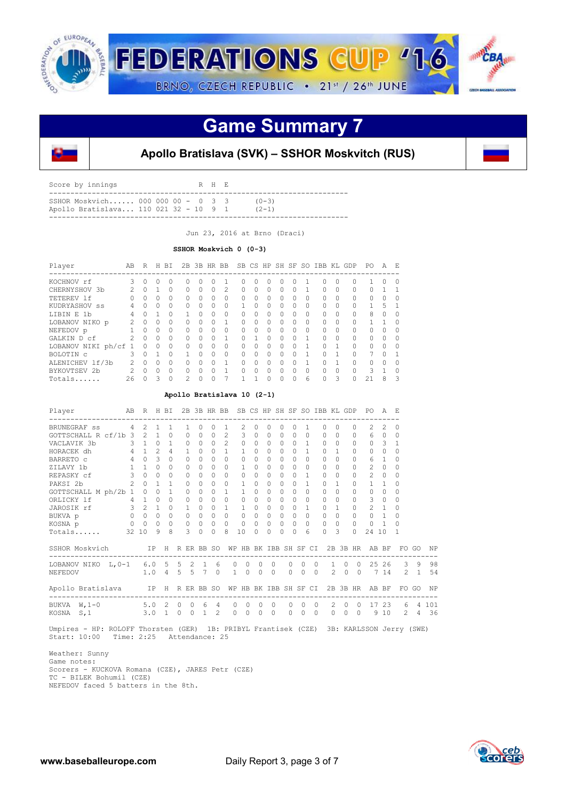

### **Game Summary 7**



### **Apollo Bratislava (SVK) – SSHOR Moskvitch (RUS)**

| SSHOR Moskyich 000 000 00 - 0 3 3                  | Score by innings |  |  | R H E |           |
|----------------------------------------------------|------------------|--|--|-------|-----------|
| Apollo Bratislava 110 021 32 - 10 9 1<br>$(2 - 1)$ |                  |  |  |       | $(0 - 3)$ |

Jun 23, 2016 at Brno (Draci)

#### **SSHOR Moskvich 0 (0-3)**

| Player               | AB | R        | H.       | BI       |          |          | 2B 3B HR BB |               |              |          |          |              |              |          |          |              | SB CS HP SH SF SO IBB KL GDP | PO.    | A | E.       |
|----------------------|----|----------|----------|----------|----------|----------|-------------|---------------|--------------|----------|----------|--------------|--------------|----------|----------|--------------|------------------------------|--------|---|----------|
| KOCHNOV rf           | 3  | $\Omega$ | Ω        |          | 0        | 0        |             |               | 0            | 0        | 0        | Ω            | O            |          | 0        | $\Omega$     | n.                           |        | 0 | $\Omega$ |
| CHERNYSHOV 3b        |    | $\Omega$ |          |          | 0        | $\Omega$ | 0           | $\mathcal{L}$ | 0            | $\Omega$ | $\Omega$ | 0            | O            |          | $\Omega$ | $\Omega$     |                              | U      |   |          |
| TETEREV 1f           |    | $\Omega$ | Ω        | $\Omega$ | $\Omega$ | $\Omega$ | $\Omega$    | $\bigcap$     | $\Omega$     | $\Omega$ | $\Omega$ | <sup>0</sup> | $\Omega$     | $\Omega$ | $\Omega$ | $\Omega$     |                              | $\cap$ | O | $\Omega$ |
| KUDRYASHOV ss        |    | 0        | 0        |          | 0        | 0        | 0           | $\Omega$      |              | $\Omega$ | $\Omega$ | 0            | 0            | $\Omega$ | $\Omega$ | <sup>0</sup> |                              |        | 5 |          |
| LIBIN E 1b           | 4  | $\cap$   |          | $\cap$   |          | 0        | $\Omega$    | $\Omega$      | <sup>n</sup> | $\Omega$ | $\Omega$ | <sup>0</sup> | <sup>0</sup> | $\Omega$ | $\Omega$ | $\Omega$     | $\cap$                       | 8      | 0 | $\Omega$ |
| LOBANOV NIKO p       |    | $\Omega$ | 0        |          | 0        | 0        | Ω           |               | 0            | $\Omega$ | $\Omega$ | 0            | O            | $\Omega$ | $\Omega$ | $\Omega$     |                              |        |   | $\Omega$ |
| NEFEDOV p            |    | $\cap$   | $\Omega$ | $\Omega$ | $\Omega$ | $\Omega$ | $\Omega$    | $\Omega$      | $\cap$       | $\Omega$ | $\Omega$ | $\cap$       | $\Omega$     | $\Omega$ | $\Omega$ | $\Omega$     |                              | $\cap$ | O | $\Omega$ |
| GALKIN D cf          |    | $\Omega$ | 0        | $\Omega$ | 0        | 0        | Ω           |               | ∩            |          | $\Omega$ | $\Omega$     | $\Omega$     |          | $\Omega$ | $\Omega$     |                              | $\cap$ | 0 | $\Omega$ |
| LOBANOV NIKI ph/cf 1 |    | O        | O        | $\Omega$ | $\Omega$ | 0        | 0           | $\Omega$      | 0            | $\Omega$ | $\Omega$ | $\cap$       | ∩            | 1        | $\Omega$ | 1            |                              | $\cap$ | O | $\Omega$ |
| BOLOTIN C            |    | $\cap$   |          | $\cap$   |          | O.       | Ω           | $\Omega$      | 0            | $\Omega$ | $\Omega$ | 0            | O            |          | $\Omega$ |              |                              |        | O |          |
| ALENICHEV 1f/3b      | 2  | $\cap$   | Ω        | $\cap$   | U        | O.       | Ω           |               | $\cap$       | $\Omega$ | $\Omega$ | $\Omega$     | $\Omega$     | 1        |          |              | <sup>n</sup>                 | $\cap$ | O | $\Omega$ |
| BYKOVTSEV 2b         | 2  | $\Omega$ | $\Omega$ | $\Omega$ | 0        | 0        | Ω           |               | ∩            | $\Omega$ | $\Omega$ | 0            | $\Omega$     | $\Omega$ | $\Omega$ | $\Omega$     | U                            | ς      |   | $\Omega$ |
| Totals               | 26 |          | 3        | $\Omega$ | 2        | $\Omega$ | $\Omega$    | 7             |              |          | $\Omega$ | 0            | $\Omega$     | 6        | $\Omega$ | 3            |                              | 21     | 8 | 3        |

#### **Apollo Bratislava 10 (2-1)**

| Player                                                                       | AB R H BI                                                                     |               |                |         |               |                   |                     |               | 2B 3B HR BB SB CS HP SH SF SO IBB KL GDP |          |                   |            |          |                          |            |           |                     |            | PO A E              |                |               |                |          |
|------------------------------------------------------------------------------|-------------------------------------------------------------------------------|---------------|----------------|---------|---------------|-------------------|---------------------|---------------|------------------------------------------|----------|-------------------|------------|----------|--------------------------|------------|-----------|---------------------|------------|---------------------|----------------|---------------|----------------|----------|
| BRUNEGRAF SS                                                                 | $4 \quad 2 \quad 1$                                                           |               |                | 1       | $\mathbf{1}$  | 0                 | $\Omega$            | $\mathbf{1}$  | $\mathcal{L}$                            | $\Omega$ | $\Omega$          | $\Omega$   |          |                          |            | $\Omega$  | $\Omega$            | $\Omega$   | $\mathcal{L}$       | $\mathcal{L}$  | 0             |                |          |
| GOTTSCHALL R cf/1b 3 $2$ 1 0 0                                               |                                                                               |               |                |         |               | $\Omega$          | $\Omega$            | $\mathcal{P}$ | 3                                        | $\Omega$ | $\Omega$          | $\Omega$   | $\Omega$ | $\Omega$                 |            | $\Omega$  | $\Omega$            | $\cap$     | 6                   | $\Omega$       | $\Omega$      |                |          |
| VACLAVIK 3b 3 1 0 1 0<br>HORACEK dh 4 1 2 4 1                                |                                                                               |               |                |         |               |                   | $0 \quad 0 \quad 2$ |               | $\Omega$                                 |          | $0 \quad 0$       | $\Omega$   |          | $0 \quad 1$              |            | $\cap$    | $\Omega$            | $\Omega$   |                     | 0 <sup>3</sup> | 1             |                |          |
|                                                                              |                                                                               |               |                |         |               | $\Omega$          | $0\quad1$           |               | $\mathbf{1}$                             | $\Omega$ | $\circ$           | $\bigcirc$ |          | $\Omega$<br>$\mathbf{1}$ |            | $\Omega$  |                     |            | $\Omega$            | $\Omega$       | $\Omega$      |                |          |
| BARRETO C                                                                    | $4 \quad 0$                                                                   | $\mathcal{R}$ | $\overline{0}$ |         | $\Omega$      | $\Omega$          | $\cap$ $\cap$       |               | $\Omega$                                 | $\cap$   | $\Omega$          | $\Omega$   |          | $\Omega$<br>$\Omega$     |            | $\Omega$  | $\Omega$            | $\Omega$   | 6                   | $\overline{1}$ | 0             |                |          |
| ZILAVY 1b 1 1 0 0                                                            |                                                                               |               |                |         | $\Omega$      | $\cap$            | $\cap$              | $\circ$       | $\mathbf{1}$                             | $\cap$   | $\circ$           | $\cap$     |          | $\cap$<br>$\Omega$       |            | $\Omega$  |                     | $\Omega$   | $2 \ 0$             |                | $\Omega$      |                |          |
| REPASKY cf                                                                   | 300                                                                           |               |                | 0       | $\Omega$      | $\Omega$          | $\Omega$            | $\Omega$      | $\Omega$                                 | $\cap$   | $\Omega$          | $\cap$     |          | $\Omega$<br>$\mathbf{1}$ |            | $\Omega$  | $\bigcap$           | $\Omega$   | $\mathcal{L}$       | $\Omega$       | 0             |                |          |
| 2 0 1 1<br>PAKSI 2b                                                          |                                                                               |               |                |         | $\Omega$      | $\Omega$          | $0 \quad 0$         |               | $\mathbf{1}$                             | $\cap$   | $\Omega$          | $\Omega$   |          | $\mathbf{1}$<br>$\Omega$ |            | $\Omega$  | $\overline{1}$      | $\Omega$   | $\mathbf{1}$        | $\mathbf{1}$   | $\Omega$      |                |          |
| GOTTSCHALL M ph/2b 1 0 0 1                                                   |                                                                               |               |                |         | $\circ$       | $\Omega$          | $\Omega$            | $\mathbf{1}$  | $\mathbf{1}$                             | $\Omega$ | $\circ$           | $\circ$    | $\Omega$ | $\Omega$                 |            | $\Omega$  | $\Omega$            | $\Omega$   | $\Omega$            | $\Omega$       | 0             |                |          |
| ORLICKY 1f                                                                   | 4 1 0 0                                                                       |               |                |         | $\Omega$      | $\Omega$          | $0\quad 0$          |               | $\Omega$                                 | $\cap$   | $\Omega$          | $\Omega$   |          | $\Omega$<br>$\Omega$     |            | $\Omega$  | $\Omega$            | $\Omega$   | 3                   | $\circ$        | $\Omega$      |                |          |
| JAROSIK rf                                                                   | $3$ 2 1 0 1                                                                   |               |                |         |               |                   | $0 \quad 0 \quad 1$ |               | $\mathbf{1}$                             | $\cap$   | $\circ$           | $\Omega$   |          | $\Omega$<br>$\mathbf{1}$ |            | $\bigcap$ | $\mathbf{1}$        | $\Omega$   | $2 \quad 1$         |                | $\Omega$      |                |          |
| $\begin{matrix} 0 & 0 & 0 \end{matrix}$<br>BUKVA p                           | $\begin{array}{ccccccc}\n0 & 0 & 0 & 0 & 0 \\ 0 & 0 & 0 & 0 & 0\n\end{array}$ |               |                |         |               |                   | $0\quad 0\quad 0$   |               | $\Omega$                                 | $\cap$   | $\circ$           | $\cap$     |          | $\Omega$<br>$\Omega$     |            | $\Omega$  | $\Omega$            | $\bigcap$  | $\cap$              | $\overline{1}$ | Ω             |                |          |
| KOSNA p                                                                      |                                                                               |               |                |         |               | $0\quad 0\quad 0$ |                     |               | $\circ$                                  |          | $0\quad 0\quad 0$ |            |          | $0\quad 0$               |            | $\circ$   | $\Omega$            | $\Omega$   | $\circ$             |                | $\Omega$      |                |          |
| Totals                                                                       | 32 10                                                                         | 9             | 8 <sup>1</sup> |         | $\mathcal{L}$ | $\Omega$          | $\Omega$            | $\mathcal{R}$ | 10                                       | $\Omega$ | $\Omega$          | $\Omega$   | $\Omega$ | 6                        |            | $\Omega$  | $\mathcal{R}$       | $\Omega$   | 24 10               |                | $\mathbf{1}$  |                |          |
| SSHOR Moskvich TP H R ER BB SO WP HB BK IBB SH SF CI 2B 3B HR AB BF FO GO NP |                                                                               |               |                |         |               |                   |                     |               |                                          |          |                   |            |          |                          |            |           |                     |            |                     |                |               |                |          |
| LOBANOV NIKO L, 0-1 6.0 5 5 2 1 6                                            |                                                                               |               |                |         |               |                   |                     |               | $\Omega$<br>$\Omega$                     | $\Omega$ | $\Omega$          |            | $\Omega$ | $\Omega$                 | $\bigcirc$ |           |                     |            | $1 \t 0 \t 0 \t 25$ |                | $26 \quad 3$  | 9              | 98       |
| 1.04557<br>NEFEDOV                                                           |                                                                               |               |                |         |               |                   |                     | $\Omega$      | $1 \quad 0$                              | $\Omega$ | $\overline{0}$    |            | $\Omega$ | $\Omega$                 | $\bigcirc$ |           | $2^{\circ}$         |            | $0 \quad 0 \quad 7$ |                | 14 2          | $\overline{1}$ | 54       |
| Apollo Bratislava IP H R ER BB SO WP HB BK IBB SH SF CI 2B 3B HR AB BF       |                                                                               |               |                |         |               |                   |                     |               |                                          |          |                   |            |          |                          |            |           |                     |            |                     |                |               |                | FO GO NP |
| BUKVA W, 1-0 5.0 2 0 0 6                                                     |                                                                               |               |                |         |               |                   | $\overline{4}$      |               | $\bigcirc$<br>$\Omega$                   | $\circ$  | $\bigcirc$        |            | $\Omega$ | $\circ$                  | $\bigcirc$ |           | 2                   | $0\quad 0$ | 17                  | 23             | 6             | $\overline{4}$ | 101      |
| S, 1<br>KOSNA                                                                |                                                                               |               | $3.0 \quad 1$  | $\circ$ | $\Omega$      | $\overline{1}$    | $\mathfrak{D}$      |               | $\circ$<br>$\Omega$                      | 0        | $\Omega$          |            | $\Omega$ | $\Omega$                 | $\Omega$   |           | $\Omega$<br>$\circ$ | $\Omega$   | 9                   | 10             | $\mathcal{L}$ | 4              | 36       |

 Umpires - HP: ROLOFF Thorsten (GER) 1B: PRIBYL Frantisek (CZE) 3B: KARLSSON Jerry (SWE) Start: 10:00 Time: 2:25 Attendance: 25

 Weather: Sunny Game notes: Scorers - KUCKOVA Romana (CZE), JARES Petr (CZE) TC - BILEK Bohumil (CZE) NEFEDOV faced 5 batters in the 8th.

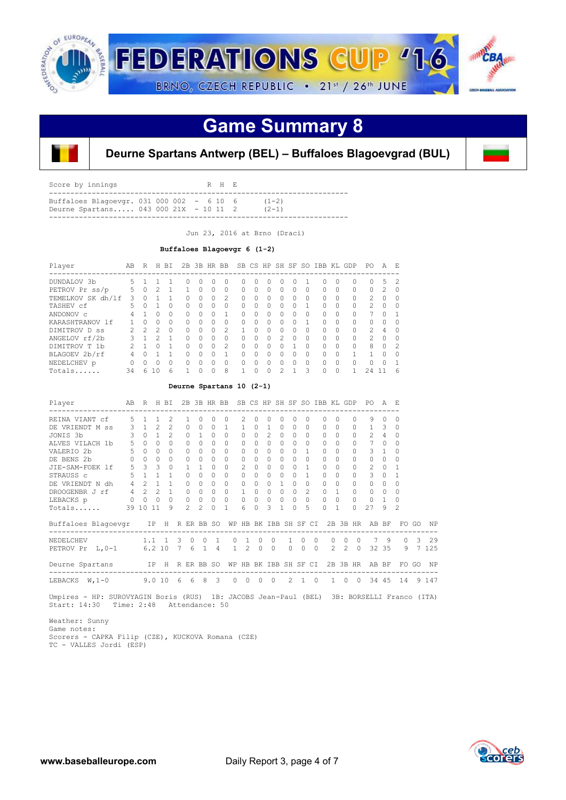

## **Game Summary 8**



**Deurne Spartans Antwerp (BEL) – Buffaloes Blagoevgrad (BUL)**

| Score by innings                                                                   | R H E |                      |  |
|------------------------------------------------------------------------------------|-------|----------------------|--|
| Buffaloes Blagoevgr. 031 000 002 - 6 10 6<br>Deurne Spartans 043 000 21X - 10 11 2 |       | $(1-2)$<br>$(2 - 1)$ |  |
|                                                                                    |       |                      |  |

Jun 23, 2016 at Brno (Draci)

#### **Buffaloes Blagoevgr 6 (1-2)**

| Player            | AB            | R             | H             | BT.      |              | 2B 3B HR BB  |              |               |   |   |          |               |          |              | SB CS HP SH SF SO IBB KL GDP |           |          | PΟ             | A             | F.            |
|-------------------|---------------|---------------|---------------|----------|--------------|--------------|--------------|---------------|---|---|----------|---------------|----------|--------------|------------------------------|-----------|----------|----------------|---------------|---------------|
| DUNDALOV 3b       | 5.            |               |               |          | <sup>0</sup> | $\bigcap$    |              | <sup>0</sup>  | U |   |          |               | O        |              | U                            | $\bigcap$ | 0        | $\cap$         | 5.            | 2             |
| PETROV Pr ss/p    | 5.            | $\cap$        | $\mathcal{P}$ |          |              | $\Omega$     | <sup>0</sup> | 0             | 0 | 0 | 0        | O             | 0        | <sup>0</sup> | 0                            | $\Omega$  | $\Omega$ | $\Omega$       | $\mathcal{L}$ | <sup>0</sup>  |
| TEMELKOV SK dh/lf | 3             |               |               |          | 0            | $\Omega$     |              | 2             | 0 | 0 | $\Omega$ | O             | 0        | $\Omega$     | 0                            | $\Omega$  | $\Omega$ | $\mathcal{L}$  | O             |               |
| TASHEV cf         | 5.            | <sup>n</sup>  |               | $\Omega$ | $\Omega$     | <sup>0</sup> | ∩            | $\Omega$      | 0 | 0 | 0        | U             | 0        |              | 0                            | $\Omega$  | $\Omega$ | $\mathcal{L}$  | 0             | 0             |
| ANDONOV C         | 4             |               | Ω             | $\Omega$ | $\Omega$     | $\Omega$     |              |               | O | 0 | $\Omega$ | O             | O        | $\Omega$     | $\Omega$                     | $\Omega$  | $\Omega$ |                | O             |               |
| KARASHTRANOV 1f   |               | U             | Ω             | $\Omega$ | $\Omega$     | $\Omega$     | $\cap$       | $\Omega$      | O | 0 | $\Omega$ | U             | $\Omega$ | 1            | $\Omega$                     | $\Omega$  | $\Omega$ | $\Omega$       | O             |               |
| DIMITROV D SS     | $\mathcal{P}$ | $\mathcal{P}$ | $\mathcal{P}$ | $\Omega$ | $\Omega$     | $\Omega$     | $\cap$       | $\mathcal{P}$ | 1 | 0 | $\Omega$ | $\cap$        | 0        | $\Omega$     | $\Omega$                     | $\Omega$  | $\Omega$ | $\mathcal{P}$  | 4             | <sup>0</sup>  |
| ANGELOV rf/2b     |               |               | っ             |          | $\Omega$     | $\Omega$     | ∩            | 0             | U | 0 | $\Omega$ | $\mathcal{P}$ | O        | $\Omega$     | 0                            | $\Omega$  | $\Omega$ | $\mathfrak{D}$ | O             | Ω             |
| DIMITROV T 1b     | $\mathcal{P}$ | п             | Λ             | 1        | $\Omega$     | $\Omega$     | $\cap$       | 2             | 0 | 0 | $\Omega$ | $\cap$        |          | $\Omega$     | $\Omega$                     | $\Omega$  | $\Omega$ | $\mathcal{R}$  | O             | $\mathcal{P}$ |
| BLAGOEV 2b/rf     | 4             | ∩             |               |          | $\Omega$     | $\Omega$     |              |               | O | 0 | $\Omega$ | U             | O        | $\Omega$     | $\Omega$                     | $\Omega$  | 1        |                | Λ             | 0             |
| NEDELCHEV p       | Ω             | U             | Ω             | $\Omega$ | $\Omega$     | $\Omega$     |              | 0             | O | 0 | $\Omega$ | U             | $\Omega$ | $\Omega$     | O                            | $\Omega$  | $\Omega$ | $\bigcap$      | Ω             |               |
| Totals            | 34            | 6             | ıΩ            | 6        |              | $\cap$       | $\cap$       | 8             |   | U | $\Omega$ | $\mathcal{D}$ |          | 3            |                              | $\Omega$  |          | 24             |               | 6             |

#### **Deurne Spartans 10 (2-1)**

| Player                 | AB      | R              |               | H BI           |   |               | 2B 3B HR BB    |              |                |                       |              |                 |                |           |               |              | SB CS HP SH SF SO IBB KL GDP |           |             | PO.           | A              | F.             |    |           |
|------------------------|---------|----------------|---------------|----------------|---|---------------|----------------|--------------|----------------|-----------------------|--------------|-----------------|----------------|-----------|---------------|--------------|------------------------------|-----------|-------------|---------------|----------------|----------------|----|-----------|
| REINA VIANT Cf         | 5       |                |               | $\mathfrak{D}$ |   |               | $\Omega$       | $\cap$       | <sup>0</sup>   | 2.                    | O            | $\Omega$        | $\cap$         |           | $\cap$        |              | U                            | $\Omega$  | U           | 9             | $\cap$         | $\Omega$       |    |           |
| DE VRIENDT M SS        | 3       | $\mathbf{1}$   | $\mathcal{L}$ | $\mathfrak{D}$ |   | $\Omega$      | $\Omega$       | $\Omega$     | $\overline{1}$ | 1.                    | $\Omega$     | $\mathbf{1}$    | $\Omega$       | $\Omega$  | $\Omega$      |              | $\Omega$                     | $\Omega$  | $\cap$      | $\mathbf{1}$  | 3              | $\Omega$       |    |           |
| JONIS 3b               | 3       | $\Omega$       |               | $\mathcal{L}$  |   | $\Omega$      | $\mathbf{1}$   | $\Omega$     | $\Omega$       | $\Omega$              | $\Omega$     | $\mathcal{L}$   | $\bigcap$      | $\Omega$  | $\Omega$      |              | $\Omega$                     | $\Omega$  |             | $\mathcal{P}$ | 4              |                |    |           |
| ALVES VILACH 1b        | 5       | $\Omega$       | $\Omega$      | $\cap$         |   | $\Omega$      | $\cap$         | $\Omega$     | $\cap$         | $\Omega$              | $\cap$       | $\Omega$        | $\cap$         |           | $\cap$        |              | $\cap$                       | $\cap$    | $\cap$      | 7             | $\bigcap$      | $\Omega$       |    |           |
| VALERIO 2b             | 5       | $\Omega$       | $\Omega$      | $\Omega$       |   | $\Omega$      | 0              | $\Omega$     | $\Omega$       | 0                     | $\bigcap$    | $\Omega$        | $\Omega$       | $\Omega$  |               |              | $\Omega$                     | $\Omega$  | $\bigcap$   | 3             | $\overline{1}$ | 0              |    |           |
| DE BENS 2b             | $\circ$ | $\Omega$       | $\Omega$      | $\Omega$       |   | $\Omega$      | 0              | $\bigcap$    | $\Omega$       | 0                     | 0            | $\Omega$        | $\bigcap$      | $\Omega$  | $\Omega$      |              | $\Omega$                     | $\Omega$  |             | $\cap$        | $\Omega$       | $\Omega$       |    |           |
| JIE-SAM-FOEK 1f        | 5       | $\mathbf{3}$   | 3             | $\Omega$       |   |               | 1              | <sup>n</sup> | $\cap$         | $\mathfrak{D}$        | <sup>0</sup> | $\Omega$        | O.             | $\cap$    |               |              | $\cap$                       | $\bigcap$ | U           | $\mathcal{L}$ | $\Omega$       |                |    |           |
| STRAUSS c              | 5       | $\overline{1}$ |               | $\overline{1}$ |   | $\bigcap$     | 0              | $\cap$       | $\Omega$       | 0                     | $\Omega$     | $\Omega$        | $\Omega$       | $\Omega$  | 1             |              | $\bigcap$                    | $\Omega$  | $\bigcap$   | 3             | $\Omega$       |                |    |           |
| DE VRIENDT N dh        | 4       | $\mathcal{P}$  | $\mathbf{1}$  | 1              |   | $\bigcap$     | $\Omega$       | $\Omega$     | $\Omega$       | 0                     | 0            | $\Omega$        | 1.             | $\Omega$  | $\Omega$      |              | $\Omega$                     | $\bigcap$ |             | $\Omega$      | $\Omega$       | $\Omega$       |    |           |
| DROOGENBR J rf         | $4 -$   | 2              | $2^{\circ}$   | $\overline{1}$ |   | $\Omega$      | $\Omega$       | $\bigcap$    | $\Omega$       | 1                     | $\Omega$     | $\Omega$        | $\Omega$       | $\bigcap$ | $\mathcal{L}$ |              | $\Omega$                     |           | $\cap$      | $\Omega$      | $\Omega$       | 0              |    |           |
| LEBACKS p              | $\circ$ | $\Omega$       | $\bigcirc$    | $\Omega$       |   | $\circ$       | $\circ$        | $\circ$      | $\Omega$       | $\circ$               | $\Omega$     | $\Omega$        | $\overline{0}$ | $\Omega$  | $\Omega$      |              | $\circ$                      | $\Omega$  | $\Omega$    | $\Omega$      | $\overline{1}$ | $\Omega$       |    |           |
| Totals                 |         | 39 10          | 11            | 9              |   | $\mathcal{L}$ | $\mathfrak{D}$ | $\bigcap$    |                | 6                     | $\bigcap$    | 3               |                | $\Omega$  | 5             |              | $\Omega$                     |           | $\Omega$    | 27            | 9              | $\mathfrak{D}$ |    |           |
| Buffaloes Blagoevgr IP |         |                |               | H              |   |               | R ER BB SO     |              |                | WP HB BK IBB SH SF CI |              |                 |                |           |               |              |                              |           | 2B 3B HR    | AB            | BF             | FO.            | GO | <b>NP</b> |
| NEDELCHEV              |         | 1.1            |               | $\overline{1}$ | 3 | $\Omega$      | $\Omega$       | 1            | 0              |                       | $\Omega$     | $\Omega$        |                |           | ∩             |              | $\Omega$                     | $\Omega$  | $\Omega$    | 7             | 9              | $\Omega$       | 3  | 29        |
| PETROV Pr<br>$L, 0-1$  |         |                | 6.210         |                | 7 | 6             | 1              | 4            | $\mathbf{1}$   | 2                     | $\Omega$     | $\Omega$        |                | $\Omega$  | $\Omega$      | $\Omega$     | $2^{\circ}$                  |           | $2 \quad 0$ |               | 32 35          | 9              | 7  | 125       |
| Deurne Spartans        |         |                | IP H          |                |   |               | R ER BB SO     |              | WP             | HB                    |              | BK IBB SH SF CI |                |           |               |              | 2B                           |           | 3B HR       | AB            | BF             | FO.            | GO | NP        |
| LEBACKS<br>$W, 1-0$    |         |                | 9.010         |                | 6 | 6             | 8              | 3            | $\Omega$       | 0                     | $\Omega$     | $\Omega$        |                | 2.        |               | <sup>0</sup> |                              | $\Omega$  | $\Omega$    |               | 34 45          | 14             |    | 9 1 4 7   |

 Umpires - HP: SUROVYAGIN Boris (RUS) 1B: JACOBS Jean-Paul (BEL) 3B: BORSELLI Franco (ITA) Start: 14:30 Time: 2:48 Attendance: 50

 Weather: Sunny Game notes: Scorers - CAPKA Filip (CZE), KUCKOVA Romana (CZE) TC - VALLES Jordi (ESP)

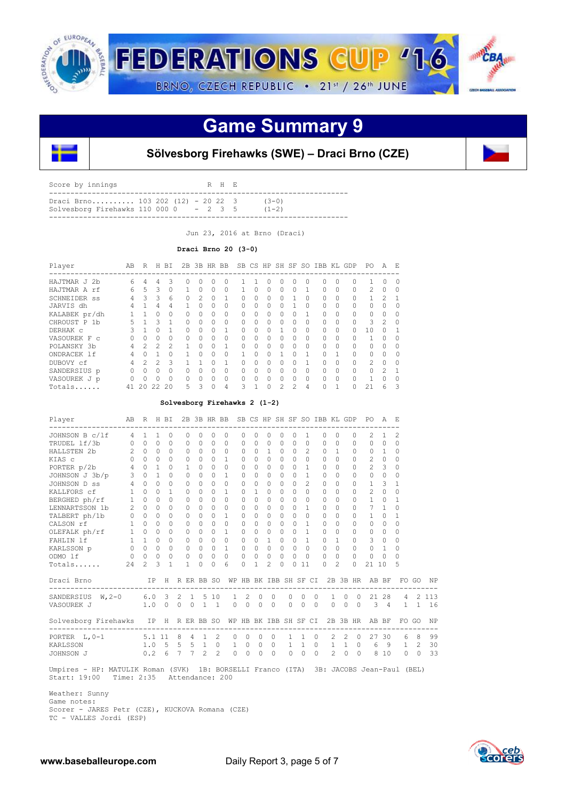

## **Game Summary 9**



### **Sölvesborg Firehawks (SWE) – Draci Brno (CZE)**

| Draci Brno 103 202 (12) - 20 22 3<br>$(3-0)$<br>Solvesborg Firehawks 110 000 $0 - 2$ 3 5<br>$(1 - 2)$ | Score by innings |  |  | R H E |  |  |
|-------------------------------------------------------------------------------------------------------|------------------|--|--|-------|--|--|
|                                                                                                       |                  |  |  |       |  |  |

Jun 23, 2016 at Brno (Draci)

#### **Draci Brno 20 (3-0)**

| Player                      | AB | R             | н  | BI             |          | 2B 3B HR BB   |          |          |          |          |              |          |               |          | SB CS HP SH SF SO IBB KL |   | GDP      | PO             | A         | F.       |
|-----------------------------|----|---------------|----|----------------|----------|---------------|----------|----------|----------|----------|--------------|----------|---------------|----------|--------------------------|---|----------|----------------|-----------|----------|
| 2 <sub>b</sub><br>HAJTMAR J | 6  | 4             | 4  | 3              | $^{(1)}$ | $\bigcap$     |          | 0        |          |          | $\left($ )   | 0        | 0             | $\Omega$ | 0                        |   | 0        |                | 0         | $\Omega$ |
| HAJTMAR A rf                | 6  | 5             | 3  | $\Omega$       |          | $\Omega$      | Ω        | 0        |          | 0        | <sup>0</sup> | $\Omega$ | 0             |          | $\Omega$                 |   | $\Omega$ | $\mathfrak{D}$ | $\Omega$  | ∩        |
| <b>SCHNEIDER SS</b>         | 4  | 3             | 3  | 6              | 0        | $\mathcal{D}$ |          |          | 0        | $\Omega$ | $\Omega$     | 0        |               | $\Omega$ | $\Omega$                 |   | 0        |                | 2         |          |
| JARVIS dh                   | 4  |               | 4  | 4              | 1.       | $\Omega$      | Ω        | 0        | $\Omega$ | $\Omega$ | <sup>0</sup> | 0        |               | $\Omega$ | $\Omega$                 |   | 0        | 0              | 0         | $\Omega$ |
| KALABEK pr/dh               |    |               | 0  | 0              | Ω        | $\bigcap$     | Ω        | 0        | 0        | $\Omega$ | $\Omega$     | $\Omega$ | 0             |          | $\Omega$                 |   | $\cap$   | 0              | $\Omega$  |          |
| CHROUST P 1b                | 5  |               | 3  |                | 0        | $\Omega$      |          | 0        | 0        | $\Omega$ | $\Omega$     | $\Omega$ | 0             | $\Omega$ | $\Omega$                 |   | $\Omega$ | 3              | 2         | $\Omega$ |
| DERHAK C                    | ₹  |               | O. |                | $\Omega$ | $\bigcap$     | Λ        |          | 0        | $\Omega$ | $\cap$       |          | 0             | $\Omega$ | $\Omega$                 | ∩ | $\cap$   | 10             | $\bigcap$ |          |
| VASOUREK F C                |    |               | 0  | $\Omega$       | 0        | $\bigcap$     |          | 0        | 0        | $\Omega$ | $\Omega$     | $\Omega$ | 0             | $\Omega$ | $\Omega$                 |   | $\Omega$ |                | $\Omega$  |          |
| POLANSKY 3b                 | 4  | $\mathcal{P}$ | 2  | $\mathfrak{D}$ |          | $\Omega$      |          |          | 0        | $\Omega$ | $\Omega$     | $\Omega$ | 0             | $\Omega$ | $\Omega$                 |   | $\Omega$ | 0              | $\Omega$  | ∩        |
| ONDRACEK 1f                 | 4  |               |    | $\Omega$       |          | $\cap$        |          | 0        |          | $\Omega$ | ∩            |          | Λ             |          | $\Omega$                 |   | $\cap$   | O.             | $\Omega$  | ∩        |
| DUBOVY cf                   | 4  | 2             | 2  | 3              |          |               |          |          | 0        | $\Omega$ | $\Omega$     | $\Omega$ | 0             |          | $\Omega$                 |   | $\Omega$ | $\mathfrak{D}$ | $\Omega$  |          |
| SANDERSIUS p                | O  | $\bigcap$     | 0  | 0              | $\Omega$ | $\Omega$      | Ω        | 0        | 0        | $\Omega$ | $\Omega$     | $\Omega$ | 0             | $\Omega$ | $\Omega$                 |   | $\cap$   | O              | 2         |          |
| VASOUREK J p                |    |               | Ω  | $\Omega$       | Λ        |               |          | $\Omega$ | 0        | ∩        | $\cap$       | $\Omega$ | U             | $\Omega$ | $\Omega$                 |   | $\cap$   |                | $\Omega$  | ∩        |
| Totals                      | 41 | 20            | 22 | 20             | 5        | 3             | $\Omega$ | 4        | 3        |          | $\Omega$     | 2        | $\mathcal{L}$ | 4        | $\Omega$                 |   |          | 2.1            | 6         |          |

#### **Solvesborg Firehawks 2 (1-2)**

| Player                                               | AB R H BI      |              |              |              |                |                |                    |                | 2B 3B HR BB SB CS HP SH SF SO IBB KL GDP                                        |                               |              |                |           |                      |            |                     |           |                |          |                   | PO A E         |                |                              |          |                      |
|------------------------------------------------------|----------------|--------------|--------------|--------------|----------------|----------------|--------------------|----------------|---------------------------------------------------------------------------------|-------------------------------|--------------|----------------|-----------|----------------------|------------|---------------------|-----------|----------------|----------|-------------------|----------------|----------------|------------------------------|----------|----------------------|
| JOHNSON B c/lf                                       | $\overline{4}$ | $\mathbf{1}$ | $\mathbf{1}$ | $\circ$      |                | $\Omega$       | 0                  | $\Omega$       | $\Omega$                                                                        | 0                             | $\Omega$     | $\Omega$       | $\Omega$  | $\Omega$             |            | 1                   | $\Omega$  | $\Omega$       |          | $\Omega$          | 2              |                | 2                            |          |                      |
| TRUDEL 1f/3b                                         |                | $0\quad 0$   | $\Omega$     | $\Omega$     |                | $\Omega$       | $\Omega$           | $\Omega$       | $\Omega$                                                                        | $\Omega$                      | $\Omega$     | $\Omega$       | $\bigcap$ | $\Omega$             |            | $\Omega$            | $\Omega$  | $\Omega$       |          | $\bigcap$         | $\bigcap$      | $\Omega$       | $\Omega$                     |          |                      |
| HALLSTEN 2b<br>KIAS c                                |                | $2 \quad 0$  | $\Omega$     | $\Omega$     |                | $\Omega$       | $\Omega$           | $\Omega$       | $\Omega$                                                                        | $\Omega$                      | $\cap$       | $\mathbf{1}$   | $\Omega$  | $\Omega$             |            | $\mathfrak{D}$      | $\Omega$  | $\mathbf{1}$   |          | $\Omega$          | $\cap$         | $\overline{1}$ | 0                            |          |                      |
|                                                      |                | $0\quad 0$   | $\Omega$     | $\Omega$     |                | $\circ$        | $\Omega$           | $\Omega$       | $\mathbf{1}$                                                                    | $\Omega$                      | $\Omega$     | $\circ$        | $\Omega$  | $\Omega$             |            | $\Omega$            | $\Omega$  | $\Omega$       |          | $\Omega$          | $\mathfrak{D}$ | $\overline{0}$ | 0                            |          |                      |
| PORTER $p/2b$                                        |                | $4 \quad 0$  | $\mathbf{1}$ | $\Omega$     |                | $\mathbf{1}$   | $\Omega$           | $\cap$         | $\Omega$                                                                        | $\Omega$                      | $\Omega$     | $\Omega$       | $\Omega$  | $\Omega$             |            | 1                   | $\bigcap$ | $\Omega$       |          | $\Omega$          | $\mathfrak{D}$ | 3              | $\Omega$                     |          |                      |
| JOHNSON J 3b/p                                       |                | $3 \quad 0$  | $\mathbf{1}$ | $\Omega$     |                | $\circ$        | $\cap$             | $\cap$         | $\mathbf{1}$                                                                    | 0                             | $\Omega$     | $\Omega$       | $\bigcap$ | $\Omega$             |            | $\mathbf{1}$        | $\Omega$  | $\Omega$       |          | $\Omega$          | $\circ$        | $\Omega$       | 0                            |          |                      |
| JOHNSON D ss 4 0                                     |                |              | $\Omega$     | $\Omega$     |                | $\Omega$       | $\Omega$           | $\Omega$       | $\Omega$                                                                        | $\Omega$                      | $\Omega$     | $\Omega$       | $\cap$    | $\Omega$             |            | $\mathfrak{D}$      | $\Omega$  | $\Omega$       |          | $\Omega$          | $\mathbf{1}$   | 3              | 1                            |          |                      |
| KALLFORS cf 1 0<br>BERGHED ph/rf 1 0                 |                |              | $\Omega$     | $\mathbf{1}$ |                | $\Omega$       | $\Omega$           | $\cap$         | $\mathbf{1}$                                                                    | $\Omega$                      | 1            | $\Omega$       | $\Omega$  | $\Omega$             |            | $\Omega$            | $\Omega$  | $\Omega$       |          | $\Omega$          | $\mathfrak{D}$ | $\Omega$       | $\Omega$                     |          |                      |
|                                                      |                |              | $\Omega$     | $\Omega$     |                | $\Omega$       | $\Omega$           | $\Omega$       | $\Omega$                                                                        | $\Omega$                      | $\Omega$     | $\Omega$       | $\Omega$  | $\Omega$             |            | $\Omega$            | $\Omega$  | $\Omega$       |          | $\Omega$          | 1              | $\Omega$       | $\mathbf{1}$                 |          |                      |
| LENNARTSSON 1b                                       | $\overline{2}$ | $\Omega$     | $\Omega$     | $\bigcap$    |                | $\Omega$       | $\Omega$           | $\Omega$       | $\Omega$                                                                        | $\Omega$                      | $\Omega$     | $\Omega$       | $\Omega$  | $\Omega$             |            | 1                   | $\Omega$  | $\cap$         |          | $\bigcap$         | 7              | $\mathbf{1}$   | 0                            |          |                      |
| TALBERT ph/1b 0 0                                    |                |              | $\Omega$     | $\Omega$     |                | $\Omega$       | $\bigcap$          | $\Omega$       | $\mathbf{1}$                                                                    | 0                             | $\Omega$     | $\Omega$       | $\bigcap$ | $\Omega$             |            | $\Omega$            | $\Omega$  | $\Omega$       |          | $\Omega$          | $\mathbf{1}$   | $\Omega$       | $\mathbf{1}$                 |          |                      |
| CALSON $rf$ 1                                        |                | $\cap$       | $\bigcap$    | $\bigcap$    |                | $\Omega$       | $\bigcap$          | $\Omega$       | $\Omega$                                                                        | $\Omega$                      | $\cap$       | $\Omega$       | $\bigcap$ | $\Omega$             |            | $\mathbf{1}$        | $\Omega$  | $\cap$         |          | 0                 | $\bigcap$      | $\Omega$       | $\Omega$                     |          |                      |
| OLEFALK ph/rf 1 0<br>FAHLIN lf 1 1                   |                |              | $\Omega$     | $\Omega$     |                | $\Omega$       | $\Omega$           | $\cap$         | $\mathbf{1}$                                                                    | $\Omega$                      | $\Omega$     | $\Omega$       | $\Omega$  | $\Omega$             |            | $\mathbf{1}$        | $\Omega$  | $\Omega$       |          | $\Omega$          | $\cap$         | $\Omega$       | $\Omega$                     |          |                      |
|                                                      |                |              | $\Omega$     | $\Omega$     |                | $\Omega$       | $\Omega$           | $\Omega$       | $\Omega$                                                                        | $\circ$                       | $\Omega$     | $\mathbf{1}$   | $\Omega$  | $\Omega$             |            | $\mathbf{1}$        | $\Omega$  | $\mathbf{1}$   |          | $\Omega$          | 3              | $\bigcirc$     | $\Omega$                     |          |                      |
| KARLSSON p                                           |                | $0 \quad 0$  | $\Omega$     | $\cap$       |                | $\Omega$       | $\Omega$           | $\Omega$       | $\mathbf{1}$                                                                    | $\Omega$                      | $\cap$       | $\cap$         |           | $\Omega$<br>$\Omega$ |            | $\Omega$            | $\Omega$  | $\cap$         |          | $\bigcap$         | $\Omega$       | $\overline{1}$ | 0                            |          |                      |
| ODMO lf                                              |                | $0\quad 0$   | $\circ$      | $\circ$      |                | $\circ$        | $\Omega$           | $\Omega$       | $\Omega$                                                                        | $\circ$                       | $\Omega$     | $\circ$        | $\Omega$  | $\Omega$             |            | 0                   | $\Omega$  | $\Omega$       |          | $\Omega$          | $\mathbf{0}$   | $\Omega$       | $\Omega$                     |          |                      |
| 24<br>Totals                                         |                | $2 \quad 3$  |              | $\mathbf{1}$ |                | 1              | $\Omega$           | $\bigcap$      | 6                                                                               | $\Omega$                      | $\mathbf{1}$ | $\overline{2}$ | $\Omega$  | $\bigcap$            | 11         |                     | $\cap$    | 2              |          | $\Omega$          | 21 10          |                | 5                            |          |                      |
| Draci Brno<br>--------------------                   |                |              |              |              |                |                |                    |                | IP H R ER BB SO WP HB BK IBB SH SF CI 2B 3B HR AB BF<br>----------------------- |                               |              |                |           |                      |            |                     |           |                |          |                   |                |                | ---------------------------- | FO GO    | NP                   |
| SANDERSIUS W, 2-0 6.0 3                              |                |              |              |              | $\overline{2}$ |                | 1 5 10             |                |                                                                                 | $\mathcal{L}$<br>$\mathbf{1}$ | $\Omega$     | $\circ$        |           | $\circ$              | $\Omega$   | $\Omega$            |           | $\mathbf{1}$   |          | $0\quad 0$        |                | 21 28          | 4                            |          | 2 1 1 3              |
| VASOUREK J                                           |                |              |              | $1.0 \t 0$   |                |                | $0 \t 0 \t 1 \t 1$ |                |                                                                                 | $0 \quad 0$                   | $\Omega$     | $\bigcirc$     |           |                      | $0\quad 0$ | $\bigcirc$          |           |                |          | $0\quad 0\quad 0$ | $3 \quad 4$    |                |                              |          | $1 \quad 1 \quad 16$ |
| Solvesborg Firehawks IP H<br>----------------------- |                |              |              |              |                |                |                    |                | R ER BB SO WP HB BK IBB SH SF CI                                                |                               |              |                |           |                      |            |                     |           |                |          |                   | 2B 3B HR AB BF |                |                              | FO GO    | <b>NP</b>            |
| PORTER L, 0-1 5.1 11 8 4 1                           |                |              |              |              |                |                |                    | 2              | $\Omega$                                                                        | $\Omega$                      | $\Omega$     |                | $\Omega$  |                      |            | $1 \quad 1 \quad 0$ |           | $2^{\circ}$    |          | $2 \quad 0$       |                | 27 30          | 6                            | 8        | 99                   |
| KARLSSON                                             |                |              |              |              |                |                | $1.0$ 5 5 5 1      |                | $\overline{0}$                                                                  | 1                             | $\circ$      | $0\quad 0$     |           |                      |            | $1\quad1\quad0$     |           | 1              |          | $1 \quad 0$       | 6              | - 9            | $\mathbf{1}$                 | 2        | 30                   |
| JOHNSON J                                            |                | 0.2          |              | 6            | $\overline{7}$ | $\overline{7}$ | $\mathfrak{D}$     | $\mathfrak{D}$ | $\Omega$                                                                        | $\Omega$                      | $\cap$       |                | $\Omega$  | $\Omega$             | $\Omega$   | $\Omega$            |           | $\mathfrak{D}$ | $\Omega$ | $\Omega$          | 8              | 10             | $\Omega$                     | $\Omega$ | 33                   |

 Umpires - HP: MATULIK Roman (SVK) 1B: BORSELLI Franco (ITA) 3B: JACOBS Jean-Paul (BEL) Start: 19:00 Time: 2:35 Attendance: 200

 Weather: Sunny Game notes: Scorer - JARES Petr (CZE), KUCKOVA Romana (CZE) TC - VALLES Jordi (ESP)

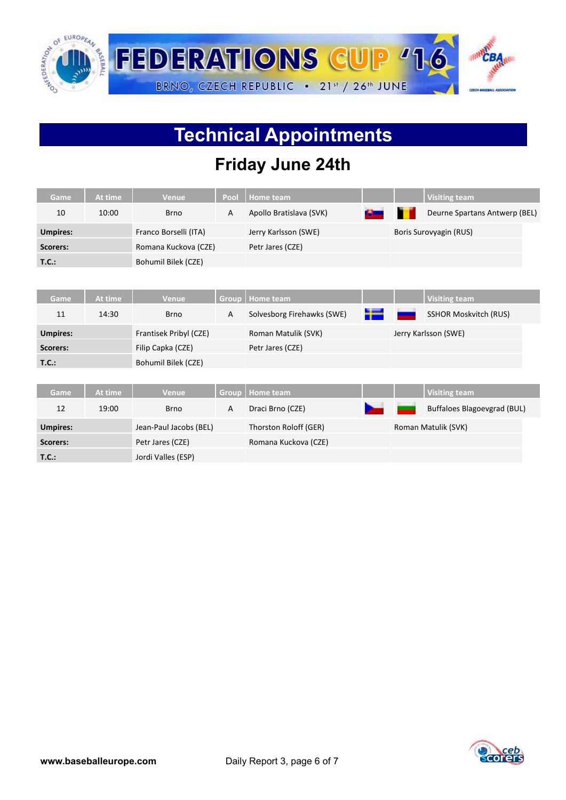

## **Technical Appointments**

### **Friday June 24th**

| Game            | At time | <b>Venue</b>           | Pool         | <b>Home team</b>           |   |                        | <b>Visiting team</b>          |  |  |  |
|-----------------|---------|------------------------|--------------|----------------------------|---|------------------------|-------------------------------|--|--|--|
| 10              | 10:00   | <b>Brno</b>            | $\mathsf{A}$ | Apollo Bratislava (SVK)    | ш |                        | Deurne Spartans Antwerp (BEL) |  |  |  |
| <b>Umpires:</b> |         | Franco Borselli (ITA)  |              | Jerry Karlsson (SWE)       |   | Boris Surovyagin (RUS) |                               |  |  |  |
| Scorers:        |         | Romana Kuckova (CZE)   |              | Petr Jares (CZE)           |   |                        |                               |  |  |  |
| T.C.:           |         | Bohumil Bilek (CZE)    |              |                            |   |                        |                               |  |  |  |
|                 |         |                        |              |                            |   |                        |                               |  |  |  |
| Game            | At time | <b>Venue</b>           | Group        | <b>Home team</b>           |   |                        | <b>Visiting team</b>          |  |  |  |
| 11              | 14:30   | <b>Brno</b>            | A            | Solvesborg Firehawks (SWE) |   |                        | <b>SSHOR Moskvitch (RUS)</b>  |  |  |  |
| <b>Umpires:</b> |         | Frantisek Pribyl (CZE) |              | Roman Matulik (SVK)        |   |                        | Jerry Karlsson (SWE)          |  |  |  |
| Scorers:        |         | Filip Capka (CZE)      |              | Petr Jares (CZE)           |   |                        |                               |  |  |  |
| <b>T.C.:</b>    |         | Bohumil Bilek (CZE)    |              |                            |   |                        |                               |  |  |  |
|                 |         |                        |              |                            |   |                        |                               |  |  |  |
| Game            | At time | <b>Venue</b>           | Group        | <b>Home team</b>           |   |                        | <b>Visiting team</b>          |  |  |  |
| 12              | 19:00   | <b>Brno</b>            | $\mathsf{A}$ | Draci Brno (CZE)           |   |                        | Buffaloes Blagoevgrad (BUL)   |  |  |  |
| <b>Umpires:</b> |         | Jean-Paul Jacobs (BEL) |              | Thorston Roloff (GER)      |   |                        | Roman Matulik (SVK)           |  |  |  |
| Scorers:        |         | Petr Jares (CZE)       |              | Romana Kuckova (CZE)       |   |                        |                               |  |  |  |
| T.C.:           |         | Jordi Valles (ESP)     |              |                            |   |                        |                               |  |  |  |